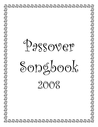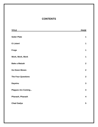#### **CONTENTS**

| <u>TITLE</u>              | <b>PAGE</b>             |
|---------------------------|-------------------------|
| <b>Seder Plate</b>        | $\mathbf 1$             |
| O Listen!                 | $\mathbf 1$             |
| <b>Frogs</b>              | $\mathbf 1$             |
| Work, Work, Work          | $\mathbf 1$             |
| <b>Bake a Matzah</b>      | $\overline{2}$          |
| <b>Go Down Moses</b>      | $\overline{2}$          |
| <b>The Four Questions</b> | $\overline{2}$          |
| <b>Dayeinu</b>            | $\mathbf{3}$            |
| <b>Plagues Are Coming</b> | $\mathbf{3}$            |
| Pharaoh, Pharaoh          | $\overline{\mathbf{4}}$ |
| <b>Chad Gadya</b>         | 5                       |
|                           |                         |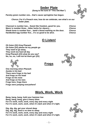# **Seder Plate**

**(Sung to the tune of "This Old Man")** 



*Chorus:* **For it's Pesach now, how do we celebrate, see what's on our Seder plate.** 

| Charoset is number two Sweet like freedom, good for you.    | <b>Chorus</b> |
|-------------------------------------------------------------|---------------|
| Maror is number three bitter herbs for slavery              | <b>Chorus</b> |
| Shank bone is number four lamb's blood marking on the door. | <b>Chorus</b> |
| Hardboiled egg number five it's so good to be alive.        | <b>Chorus</b> |

#### **O Listen!**

**Frogs**

**Oh listen (3X) King Pharaoh Oh listen (2X) please let my people go They want to go away, They work too hard all day King Pharaoh (2X) what do you say? No, no, no, I will not let them go! (2X)** 

**One morning when Pharaoh Awoke in his bed There were frogs in his bed And frogs on his head Frogs on his nose And frogs on his toes Frogs here, frogs there Frogs were jumping everywhere!** 

# **Work, Work, Work**

**Bang, bang, bang, hold your hammer low Bang, bang, bang, give a heavy blow. For it's work, work, work, every day and every night For it's work, work, work, when it's dark and when it's light.** 

**Dig, dig, dig, get your shovel deep Dig, dig, dig, there's no time to sleep. For it's work, work, work, every day and every night For it's work, work, work, when it's dark and when it's light.** 







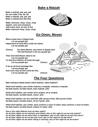### **Bake a Matzah**

**Bake a matzah, pat, pat, pat Do not make it fat, fat, fat Bake a matzah, pat, pat, pat Bake a matzah just like that.** 

**Make charoset, chop, chop, chop Apples, nuts and cinnamon Add some wine, its lots of fun Make charoset chop, chop, chop.** 



#### **Go Down, Moses**

**When Israel was in Egypt land, Let my people go! Oppressed so hard they could not stand, Let my people go!** 

*Chorus:* **Go down Moses, way down in Egypt land Tell old Pharaoh to let my people go!** 

**Then God told Moses what to do Let my people go! To lead the children of Israel through Let my people go!** *Chorus:*

**O let us all from bondage flee Let my people go! And soon may all this world be free, Let my people go!** *Chorus:*

#### **The Four Questions**

<u>in T</u>

**Mah nishtana halaila hazeh mikol haleilot, mikol haleilot?** 

**Sheb'chol haleilot, anu ochlin chametz u'matzah, chametz u'matzah, Ha-laila hazeh, ha-laila hazeh, kulo matzah. (2X)** 

**Sheb'chol haleilot, anu ochlin sh'ar yirakot, sh'ar yirakot, Ha-laila hazeh, ha-laila hazeh, maror. (2X)** 

**Sheb'chol haleilot, ein anu mat'bilin afilu pa-am echat, afilu pa-am echat, Ha'laila hazeh, ha'laila hazeh, sh'tei f'amim. (2X)** 

**Sheb'chol haleilot, anu ochlin, beyn yoshvin u-veyn m'subin, beyn yoshvin u-veyn m'subin, Ha-laila hazeh, ha-laila hazeh, kulanu m'subin. (2X)** 

*How is this night different from all other nights?* 

*On all other nights we eat* **chameitz** *and matzah, why on this night do we eat only matzah? On all other nights we eat other kinds of vegetables, why on this night do we eat only* **maror***? On all other nights we do not dip even once, why on this night do we dip twice? On all other nights we eat either sitting or reclining, why on this night do we all recline?*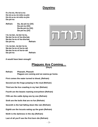#### **Dayeinu**

**Il-u ho-tzi, Ho-tzi-a-nu Ho-tzi-a-nu mi-mitz-ra-yim Ho-tzi-a-nu mi-mitz-ra-yim Da-yei-nu** 

*Refrain:* **Da, da-yei-nu (3X) Da-yei-nu (3X) Da-da-yei-nu (3X) Da-yei-nu (2X)** 

**I-lu na-tan, na-tan la-nu, Na-tan la-nu et ha-sha-bat, Na-tan la-nu et ha-sha-bat, Da-yei-nu.** *Refrain:* 

**I-lu na-tan, na-tan la-nu Na-tan la-nu et ha-to-rah Na-tan la-nu et ha-to-rah Da-yei-nu** *Refrain:* 

*It would have been enough!* 

#### **Plagues Are Coming…**

**(Dayo)** 

- **Refrain: Pharaoh, Pharaoh Plagues are coming and we wanna go home. First comes the water turned to blood, (Refrain)**
- **Second are the frogs jumping in the mud (Refrain)**
- **Third are the lice crawling in my hair (Refrain)**
- **Fourth are the beasts roaming everywhere (Refrain)**
- **Fifth are the cattle dying one by one (Refrain)**
- **Sixth are the boils that are no fun (Refrain)**
- **Seventh is the hail falling down like rain (Refrain)**
- **Eighth are the locusts eating up the grain (Refrain)**
- **Ninth is the darkness in the sky (Refrain)**
- **Last of all you'll see the first born die (Refrain)**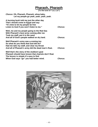## **Pharaoh, Pharaoh**

**(To the tune of "Lui, Lui")** 

| Chorus: Oh, Pharaoh, Pharaoh, whoa baby,<br>Let my people go yeah, yeah, yeah, yeah.                                                                                                   |                |
|----------------------------------------------------------------------------------------------------------------------------------------------------------------------------------------|----------------|
| A burning bush told me just the other day<br>That I should come to Egypt and say:<br>"It's time to let my people be free"<br>Listen to God if you won't listen to me."                 | <b>Chorus:</b> |
| Well, me and my people going to the Red Sea<br>With Pharaoh's best army coming after me<br>Took my staff, put it in the sand<br>And all of God's people walked on dry land.            | <b>Chorus:</b> |
| Well Pharaoh's army was a-coming too<br>So what do you think that God did do?<br>Had me take my staff, and clear my throat<br>And all of Pharaoh's army did the dead man's float.      | <b>Chorus:</b> |
| Well that's the story of the stubborn goat<br>Pharaoh should have known that chariots don't float<br>The lesson is simple it's easy to find<br>When God says "go" you had better mind. | <b>Chorus:</b> |